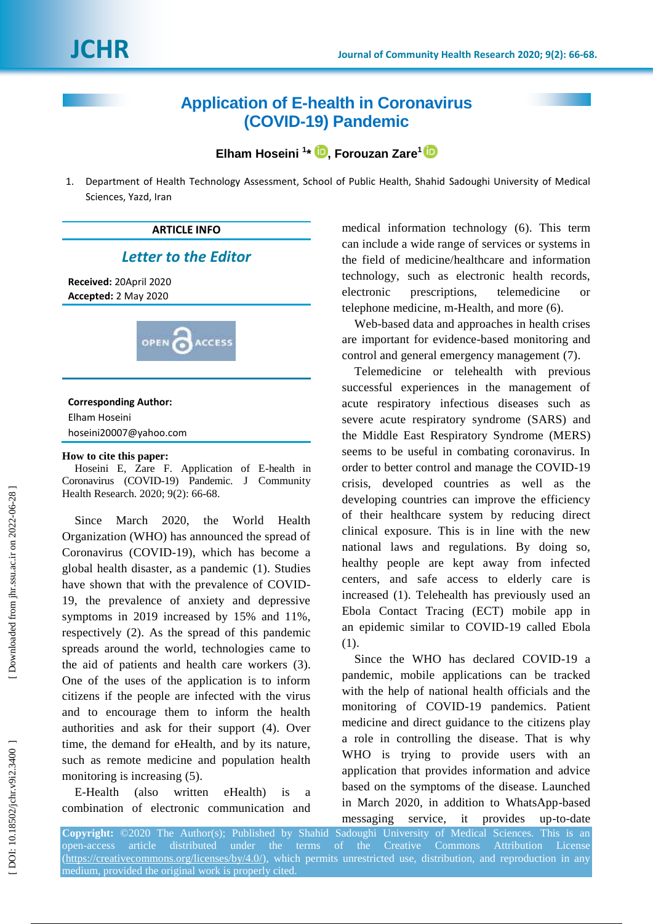# **Application of E -health in Coronavirus (COVID -19) Pandemic**

**Elham Hoseini 1 \* [,](https://orcid.org/0000-0002-8968-7974) Forouzan Zare 1**

1. Department of Health Technology Assessment, School of Public Health, Shahid Sadoughi University of Medical Sciences, Yazd, Iran



hoseini20007@yahoo.com

#### **How to cite this paper:**

Hoseini E, Zare F . Application of E -health in Coronavirus (COVID -19) Pandemic . J Community Health Research. 2020; 9(2): 66-68.

Since March 2020, the World Health Organization (WHO) has announced the spread of Coronavirus (COVID -19), which has become a global health disaster, as a pandemic ( 1 ) . Studies have shown that with the prevalence of COVID - 19, the prevalence of anxiety and depressive symptoms in 2019 increased by 15% and 11%, respectively ( 2 ) . As the spread of this pandemic spreads around the world, technologies came to the aid of patients and health care workers ( 3 ) . One of the uses of the application is to inform citizens if the people are infected with the virus and to encourage them to inform the health authorities and ask for their support ( 4 ) . Over time, the demand for eHealth, and by its nature, such as remote medicine and population health monitoring is increasing  $(5)$ .

E-Health (also written eHealth) is a combination of electronic communication and

medical information technology ( 6 ). This term can include a wide range of services or systems in the field of medicine /healthcare and information technology, such as electronic health records, electronic prescriptions, telemedicine or telephone medicine, m-Health, and more (6).

Web -based data and approaches in health crises are important for evidence -based monitoring and control and general emergency management (7).

Telemedicine or telehealth with previous successful experiences in the management of acute respiratory infectious diseases such as severe acute respiratory syndrome (SARS ) and the Middle East Respiratory Syndrome (MERS ) seems to be useful in combating coronavirus. In order to better control and manage the COVID -19 crisis, developed countries as well as the developing countries can improve the efficiency of their healthcare system by reducing direct clinical exposure. This is in line with the new national laws and regulations. By doing so, healthy people are kept away from infected centers, and safe access to elderly care is increased ( 1 ) . Telehealth has previously used an Ebola Contact Tracing (ECT) mobile app in an epidemic similar to COVID -19 called Ebola  $(1).$ 

Since the WHO has declared COVID -19 a pandemic, mobile applications can be tracked with the help of national health officials and the monitoring of COVID -19 pandemics. Patient medicine and direct guidance to the citizens play a role in controlling the disease . That is why WHO is trying to provide users with an application that provides information and advice based on the symptoms of the disease. Launched in March 2020, in addition to WhatsApp -based messaging service, it provides -to -date

**Copyright:** ©2020 The Author(s); Published by Shahid Sadoughi University of Medical Sciences. This is an open-access article distributed under the terms of the Creative Commons Attribution License [\(https://creativecommons.org/licenses/by/4.0/\)](https://creativecommons.org/licenses/by/4.0/), which permits unrestricted use, distribution, and reproduction in any medium, provided the original work is properly cited.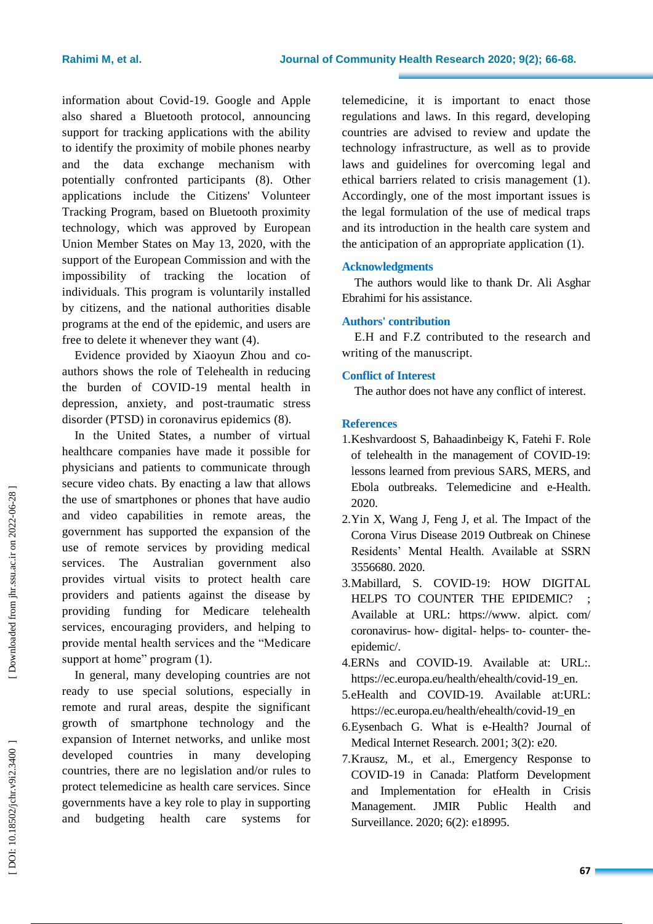information about Covid -19. Google and Apple also shared a Bluetooth protocol, announcing support for tracking applications with the ability to identify the proximity of mobile phones nearby and the data exchange mechanism with potentially confronted participants ( 8 ) . Other applications include the Citizens' Volunteer Tracking Program, based on Bluetooth proximity technology, which was approved by European Union Member States on May 13, 2020, with the support of the European Commission and with the impossibility of tracking the location of individuals. This program is voluntarily installed by citizens, and the national authorities disable programs at the end of the epidemic, and users are free to delete it whenever they want  $(4)$ .

Evidence provided by Xiaoyun Zhou and co authors shows the role of Telehealth in reducing the burden of COVID -19 mental health in depression, anxiety, and post -traumatic stress disorder (PTSD) in coronavirus epidemics (8).

In the United States, a number of virtual healthcare companies have made it possible for physicians and patients to communicate through secure video chats. By enacting a law that allows the use of smartphones or phones that have audio and video capabilities in remote areas, the government has supported the expansion of the use of remote services by providing medical services . The Australian government also provides virtual visits to protect health care providers and patients against the disease by providing funding for Medicare telehealth services, encouraging providers , and helping to provide mental health services and the "Medicare support at home" program (1).

In general, many developing countries are not ready to use special solutions, especially in remote and rural areas, despite the significant growth of smartphone technology and the expansion of Internet networks, and unlike most developed countries in many developing countries, there are no legislation and/or rules to protect telemedicine as health care services. Since governments have a key role to play in supporting and budgeting health care systems for

telemedicine, it is important to enact those regulations and laws. In this regard, developing countries are advised to review and update the technology infrastructure, as well as to provide laws and guidelines for overcoming legal and ethical barriers related to crisis management (1). Accordingly, one of the most important issues is the legal formulation of the use of medical traps and its introduction in the health care system and the anticipation of an appropriate application ( 1 ).

### **Acknowledgments**

The authors would like to thank Dr . Ali Asghar Ebrahimi for his assistance.

## **Authors' contribution**

E.H and F.Z contributed to the research and writing of the manuscript.

### **Conflict of Interest**

The author does not have any conflict of interest.

### **References**

- 1.Keshvardoost S, Bahaadinbeigy K, Fatehi F. Role of telehealth in the management of COVID -19: lessons learned from previous SARS, MERS, and Ebola outbreaks. Telemedicine and e -Health. 2020.
- 2.Yin X, Wang J, Feng J, et al. The Impact of the Corona Virus Disease 2019 Outbreak on Chinese Residents' Mental Health. Available at SSRN 3556680. 2020.
- 3.Mabillard, S. COVID -19: HOW DIGITAL HELPS TO COUNTER THE EPIDEMIC? Available at URL: https://www. alpict. com/ coronavirus- how- digital- helps- to- counter- theepidemic/ .
- 4 .ERNs and COVID -19. Available at: URL: . https://ec.europa.eu/health/ehealth/covid -19\_en.
- 5.eHealth and COVID -19. Available at:URL: https://ec.europa.eu/health/ehealth/covid -19\_en
- 6.Eysenbach G. What is e -Health? Journal of Medical Internet Research . 2001 ; 3(2): e20.
- 7.Krausz, M., et al., Emergency Response to COVID -19 in Canada: Platform Development and Implementation for eHealth in Crisis Management. JMIR Public Health and Surveillance. 2020; 6(2): e18995.